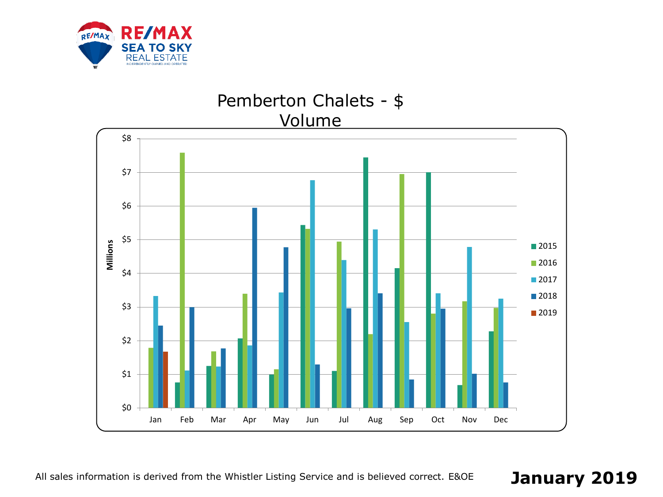

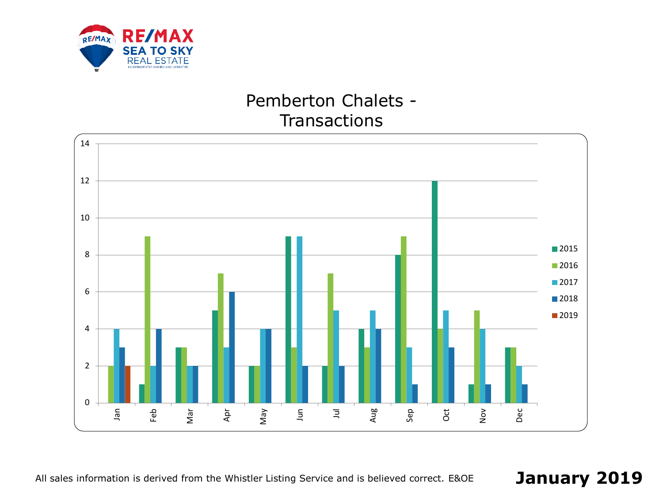

# Pemberton Chalets - **Transactions**



All sales information is derived from the Whistler Listing Service and is believed correct. E&OE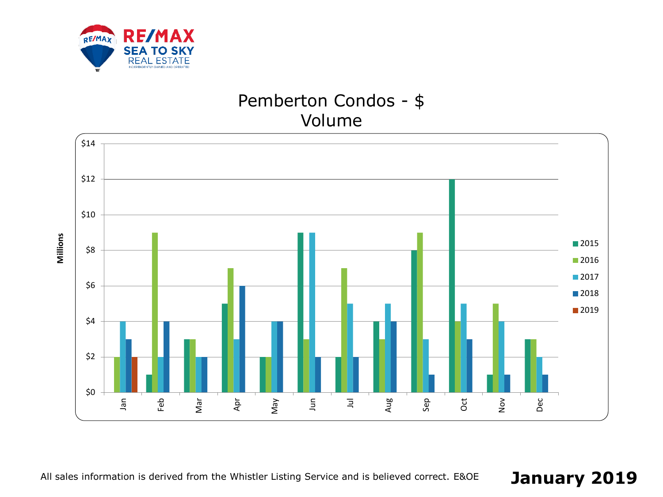

# Pemberton Condos - \$ Volume

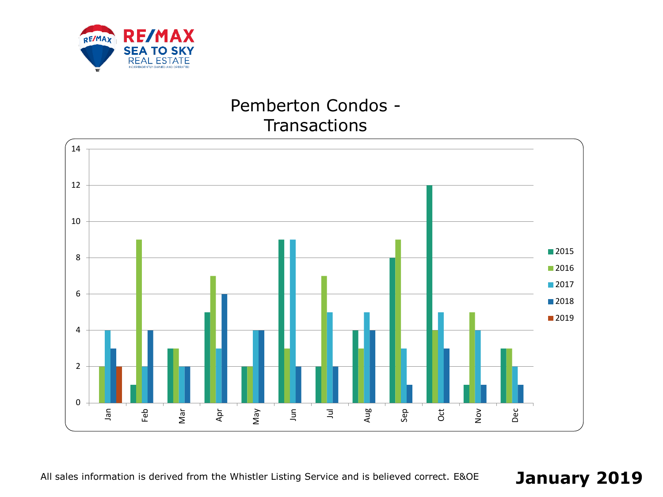

# Pemberton Condos - **Transactions**



All sales information is derived from the Whistler Listing Service and is believed correct. E&OE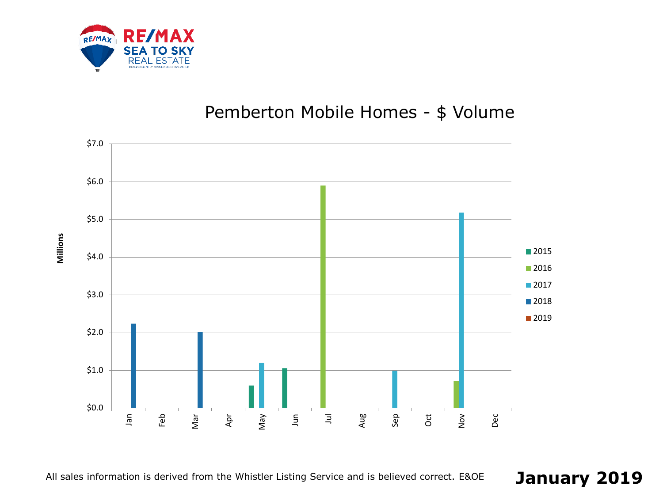

# Pemberton Mobile Homes - \$ Volume



**Millions**

All sales information is derived from the Whistler Listing Service and is believed correct. E&OE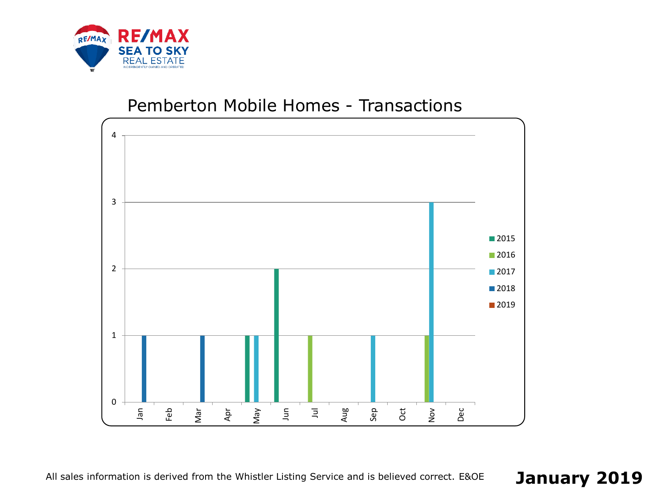

#### Pemberton Mobile Homes - Transactions



All sales information is derived from the Whistler Listing Service and is believed correct. E&OE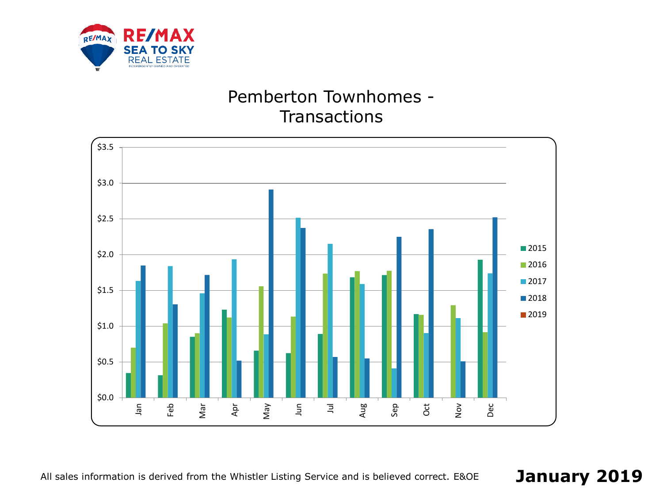

# Pemberton Townhomes - **Transactions**



All sales information is derived from the Whistler Listing Service and is believed correct. E&OE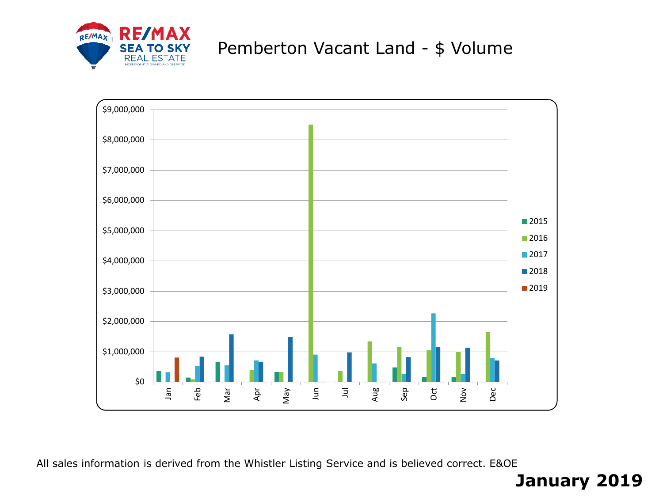

# Pemberton Vacant Land - \$ Volume



All sales information is derived from the Whistler Listing Service and is believed correct. E&OE

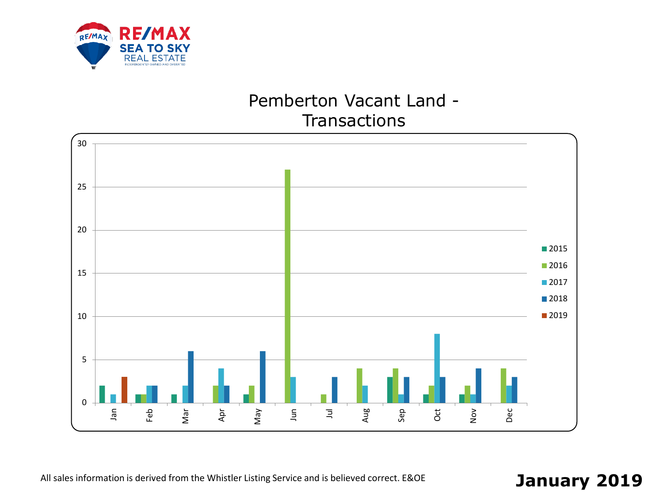

### Pemberton Vacant Land - **Transactions**

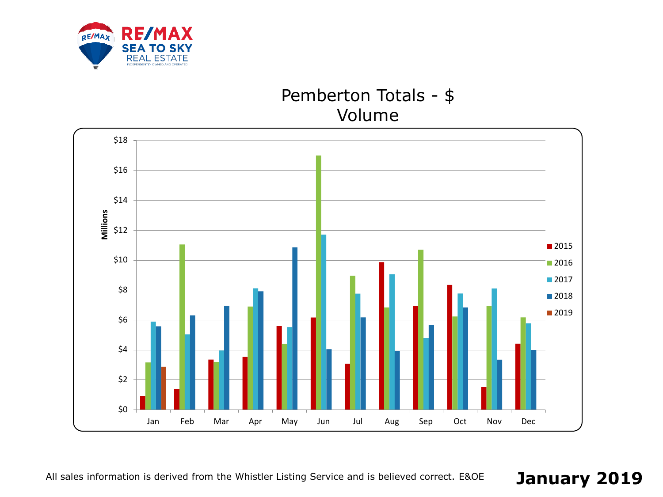

### Pemberton Totals - \$ Volume

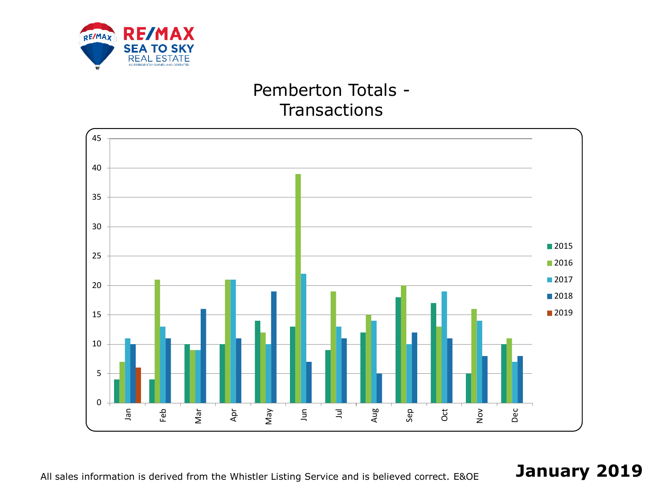

# Pemberton Totals - **Transactions**



All sales information is derived from the Whistler Listing Service and is believed correct. E&OE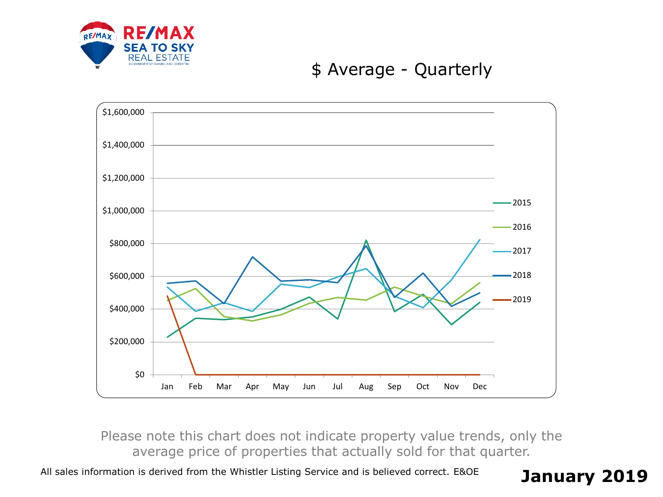

### \$ Average - Quarterly



Please note this chart does not indicate property value trends, only the average price of properties that actually sold for that quarter.

All sales information is derived from the Whistler Listing Service and is believed correct. E&OE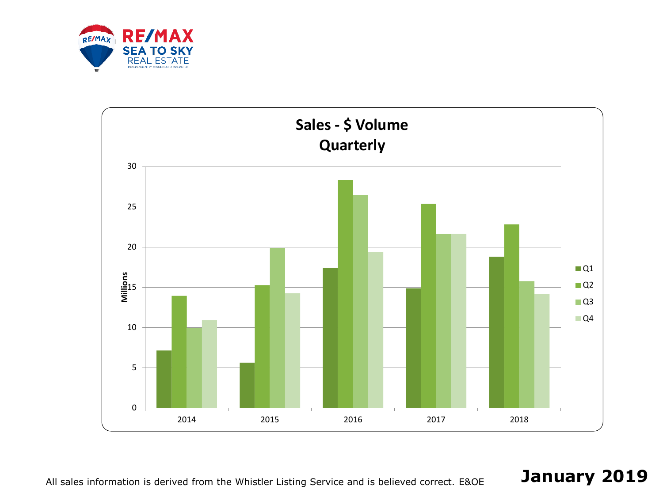



All sales information is derived from the Whistler Listing Service and is believed correct. E&OE **January 2019**